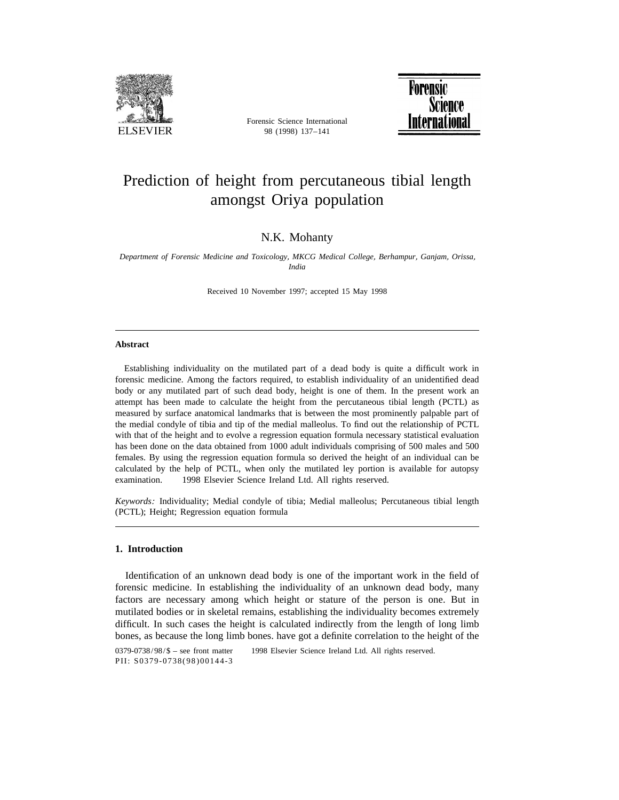

Forensic Science International 98 (1998) 137–141



# Prediction of height from percutaneous tibial length amongst Oriya population

# N.K. Mohanty

*Department of Forensic Medicine and Toxicology*, *MKCG Medical College*, *Berhampur*, *Ganjam*, *Orissa*, *India*

Received 10 November 1997; accepted 15 May 1998

## **Abstract**

Establishing individuality on the mutilated part of a dead body is quite a difficult work in forensic medicine. Among the factors required, to establish individuality of an unidentified dead body or any mutilated part of such dead body, height is one of them. In the present work an attempt has been made to calculate the height from the percutaneous tibial length (PCTL) as measured by surface anatomical landmarks that is between the most prominently palpable part of the medial condyle of tibia and tip of the medial malleolus. To find out the relationship of PCTL with that of the height and to evolve a regression equation formula necessary statistical evaluation has been done on the data obtained from 1000 adult individuals comprising of 500 males and 500 females. By using the regression equation formula so derived the height of an individual can be calculated by the help of PCTL, when only the mutilated ley portion is available for autopsy examination.  $\oslash$  1998 Elsevier Science Ireland Ltd. All rights reserved.

*Keywords*: Individuality; Medial condyle of tibia; Medial malleolus; Percutaneous tibial length (PCTL); Height; Regression equation formula

### **1. Introduction**

Identification of an unknown dead body is one of the important work in the field of forensic medicine. In establishing the individuality of an unknown dead body, many factors are necessary among which height or stature of the person is one. But in mutilated bodies or in skeletal remains, establishing the individuality becomes extremely difficult. In such cases the height is calculated indirectly from the length of long limb bones, as because the long limb bones. have got a definite correlation to the height of the

0379-0738/98/\$ - see front matter © 1998 Elsevier Science Ireland Ltd. All rights reserved. PII: S0379-0738(98)00144-3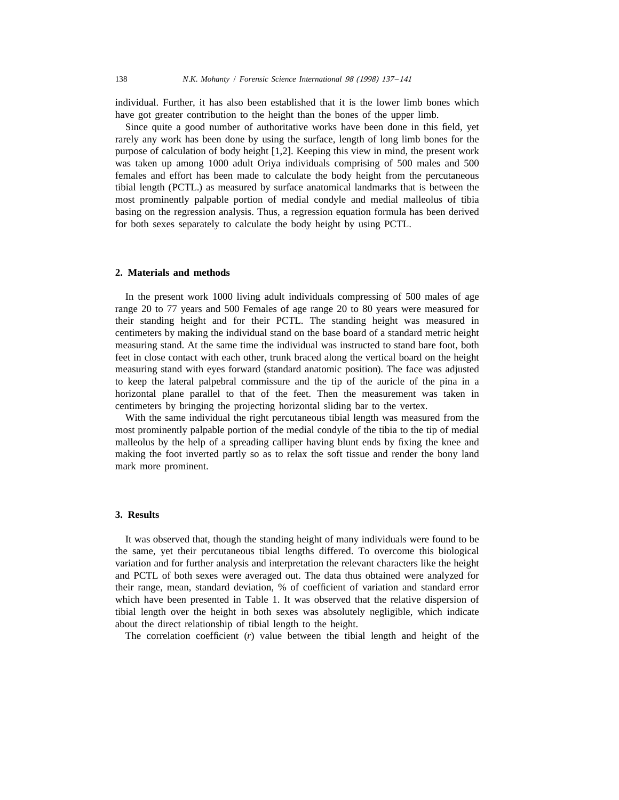individual. Further, it has also been established that it is the lower limb bones which have got greater contribution to the height than the bones of the upper limb.

Since quite a good number of authoritative works have been done in this field, yet rarely any work has been done by using the surface, length of long limb bones for the purpose of calculation of body height [1,2]. Keeping this view in mind, the present work was taken up among 1000 adult Oriya individuals comprising of 500 males and 500 females and effort has been made to calculate the body height from the percutaneous tibial length (PCTL.) as measured by surface anatomical landmarks that is between the most prominently palpable portion of medial condyle and medial malleolus of tibia basing on the regression analysis. Thus, a regression equation formula has been derived for both sexes separately to calculate the body height by using PCTL.

#### **2. Materials and methods**

In the present work 1000 living adult individuals compressing of 500 males of age range 20 to 77 years and 500 Females of age range 20 to 80 years were measured for their standing height and for their PCTL. The standing height was measured in centimeters by making the individual stand on the base board of a standard metric height measuring stand. At the same time the individual was instructed to stand bare foot, both feet in close contact with each other, trunk braced along the vertical board on the height measuring stand with eyes forward (standard anatomic position). The face was adjusted to keep the lateral palpebral commissure and the tip of the auricle of the pina in a horizontal plane parallel to that of the feet. Then the measurement was taken in centimeters by bringing the projecting horizontal sliding bar to the vertex.

With the same individual the right percutaneous tibial length was measured from the most prominently palpable portion of the medial condyle of the tibia to the tip of medial malleolus by the help of a spreading calliper having blunt ends by fixing the knee and making the foot inverted partly so as to relax the soft tissue and render the bony land mark more prominent.

#### **3. Results**

It was observed that, though the standing height of many individuals were found to be the same, yet their percutaneous tibial lengths differed. To overcome this biological variation and for further analysis and interpretation the relevant characters like the height and PCTL of both sexes were averaged out. The data thus obtained were analyzed for their range, mean, standard deviation, % of coefficient of variation and standard error which have been presented in Table 1. It was observed that the relative dispersion of tibial length over the height in both sexes was absolutely negligible, which indicate about the direct relationship of tibial length to the height.

The correlation coefficient (*r*) value between the tibial length and height of the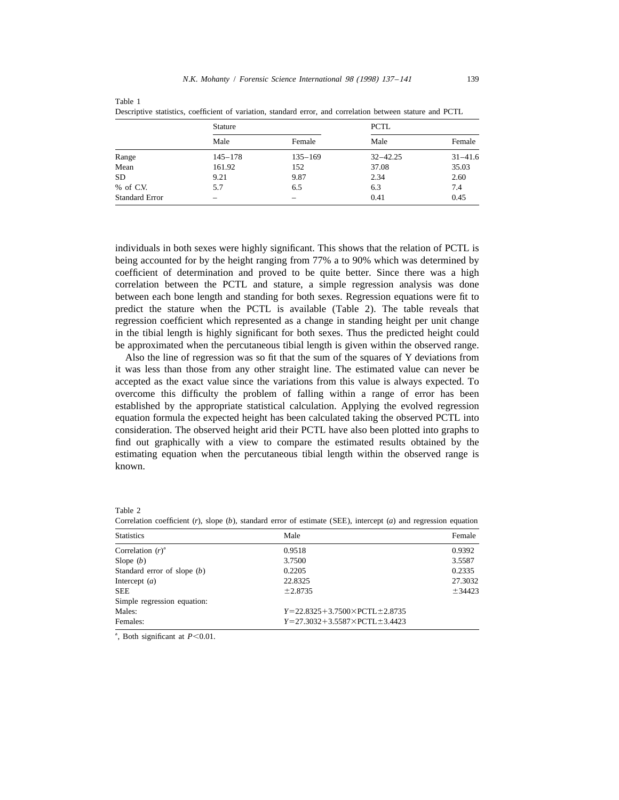|                       | <b>Stature</b> |             | <b>PCTL</b>  |             |
|-----------------------|----------------|-------------|--------------|-------------|
|                       | Male           | Female      | Male         | Female      |
| Range                 | $145 - 178$    | $135 - 169$ | $32 - 42.25$ | $31 - 41.6$ |
| Mean                  | 161.92         | 152         | 37.08        | 35.03       |
| <b>SD</b>             | 9.21           | 9.87        | 2.34         | 2.60        |
| % of C.V.             | 5.7            | 6.5         | 6.3          | 7.4         |
| <b>Standard Error</b> |                |             | 0.41         | 0.45        |

Table 1 Descriptive statistics, coefficient of variation, standard error, and correlation between stature and PCTL

individuals in both sexes were highly significant. This shows that the relation of PCTL is being accounted for by the height ranging from 77% a to 90% which was determined by coefficient of determination and proved to be quite better. Since there was a high correlation between the PCTL and stature, a simple regression analysis was done between each bone length and standing for both sexes. Regression equations were fit to predict the stature when the PCTL is available (Table 2). The table reveals that regression coefficient which represented as a change in standing height per unit change in the tibial length is highly significant for both sexes. Thus the predicted height could be approximated when the percutaneous tibial length is given within the observed range.

Also the line of regression was so fit that the sum of the squares of Y deviations from it was less than those from any other straight line. The estimated value can never be accepted as the exact value since the variations from this value is always expected. To overcome this difficulty the problem of falling within a range of error has been established by the appropriate statistical calculation. Applying the evolved regression equation formula the expected height has been calculated taking the observed PCTL into consideration. The observed height arid their PCTL have also been plotted into graphs to find out graphically with a view to compare the estimated results obtained by the estimating equation when the percutaneous tibial length within the observed range is known.

|--|

Correlation coefficient (*r*), slope (*b*), standard error of estimate (SEE), intercept (*a*) and regression equation

| <b>Statistics</b>             | Male                                    | Female  |  |
|-------------------------------|-----------------------------------------|---------|--|
| Correlation $(r)^a$           | 0.9518                                  | 0.9392  |  |
| Slope $(b)$                   | 3.7500                                  | 3.5587  |  |
| Standard error of slope $(b)$ | 0.2205                                  | 0.2335  |  |
| Intercept $(a)$               | 22.8325                                 | 27.3032 |  |
| <b>SEE</b>                    | ±2.8735                                 | ± 34423 |  |
| Simple regression equation:   |                                         |         |  |
| Males:                        | $Y=22.8325+3.7500\times PCTL\pm 2.8735$ |         |  |
| Females:                      | $Y=27.3032+3.5587\times PCTL\pm 3.4423$ |         |  |

<sup>a</sup>, Both significant at  $P < 0.01$ .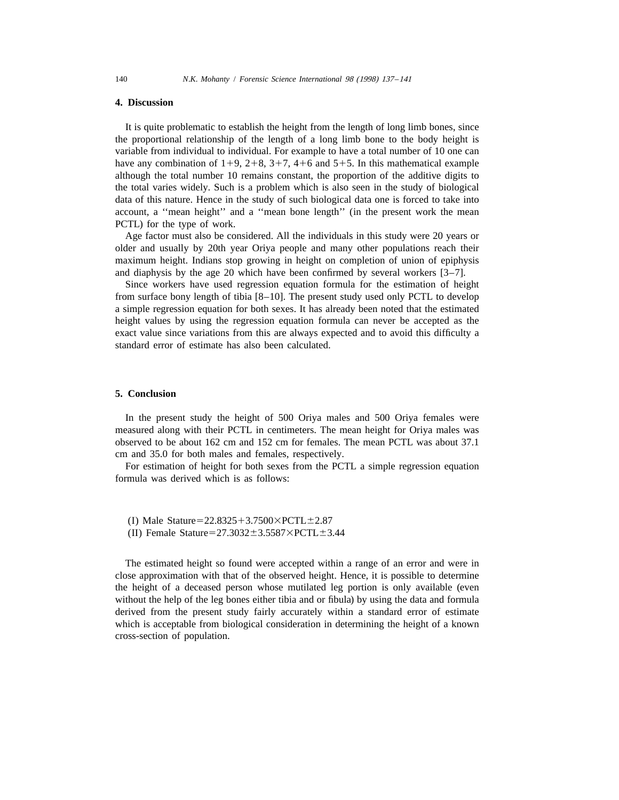### **4. Discussion**

It is quite problematic to establish the height from the length of long limb bones, since the proportional relationship of the length of a long limb bone to the body height is variable from individual to individual. For example to have a total number of 10 one can have any combination of  $1+9$ ,  $2+8$ ,  $3+7$ ,  $4+6$  and  $5+5$ . In this mathematical example although the total number 10 remains constant, the proportion of the additive digits to the total varies widely. Such is a problem which is also seen in the study of biological data of this nature. Hence in the study of such biological data one is forced to take into account, a ''mean height'' and a ''mean bone length'' (in the present work the mean PCTL) for the type of work.

Age factor must also be considered. All the individuals in this study were 20 years or older and usually by 20th year Oriya people and many other populations reach their maximum height. Indians stop growing in height on completion of union of epiphysis and diaphysis by the age 20 which have been confirmed by several workers [3–7].

Since workers have used regression equation formula for the estimation of height from surface bony length of tibia [8–10]. The present study used only PCTL to develop a simple regression equation for both sexes. It has already been noted that the estimated height values by using the regression equation formula can never be accepted as the exact value since variations from this are always expected and to avoid this difficulty a standard error of estimate has also been calculated.

#### **5. Conclusion**

In the present study the height of 500 Oriya males and 500 Oriya females were measured along with their PCTL in centimeters. The mean height for Oriya males was observed to be about 162 cm and 152 cm for females. The mean PCTL was about 37.1 cm and 35.0 for both males and females, respectively.

For estimation of height for both sexes from the PCTL a simple regression equation formula was derived which is as follows:

- (I) Male Stature= $22.8325+3.7500\times PCTL\pm2.87$
- (II) Female Stature= $27.3032 \pm 3.5587 \times PCTL \pm 3.44$

The estimated height so found were accepted within a range of an error and were in close approximation with that of the observed height. Hence, it is possible to determine the height of a deceased person whose mutilated leg portion is only available (even without the help of the leg bones either tibia and or fibula) by using the data and formula derived from the present study fairly accurately within a standard error of estimate which is acceptable from biological consideration in determining the height of a known cross-section of population.